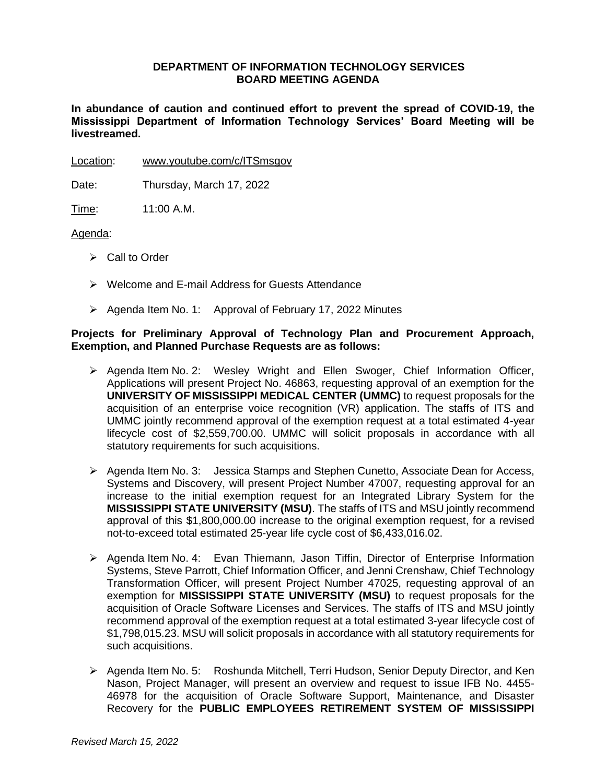## **DEPARTMENT OF INFORMATION TECHNOLOGY SERVICES BOARD MEETING AGENDA**

**In abundance of caution and continued effort to prevent the spread of COVID-19, the Mississippi Department of Information Technology Services' Board Meeting will be livestreamed.** 

Location: [www.youtube.com/c/ITSmsgov](http://www.youtube.com/c/ITSmsgov)

Date: Thursday, March 17, 2022

Time: 11:00 A.M.

### Agenda:

- ➢ Call to Order
- ➢ Welcome and E-mail Address for Guests Attendance
- ➢ Agenda Item No. 1: Approval of February 17, 2022 Minutes

## **Projects for Preliminary Approval of Technology Plan and Procurement Approach, Exemption, and Planned Purchase Requests are as follows:**

- ➢ Agenda Item No. 2: Wesley Wright and Ellen Swoger, Chief Information Officer, Applications will present Project No. 46863, requesting approval of an exemption for the **UNIVERSITY OF MISSISSIPPI MEDICAL CENTER (UMMC)** to request proposals for the acquisition of an enterprise voice recognition (VR) application. The staffs of ITS and UMMC jointly recommend approval of the exemption request at a total estimated 4-year lifecycle cost of \$2,559,700.00. UMMC will solicit proposals in accordance with all statutory requirements for such acquisitions.
- ➢ Agenda Item No. 3: Jessica Stamps and Stephen Cunetto, Associate Dean for Access, Systems and Discovery, will present Project Number 47007, requesting approval for an increase to the initial exemption request for an Integrated Library System for the **MISSISSIPPI STATE UNIVERSITY (MSU)**. The staffs of ITS and MSU jointly recommend approval of this \$1,800,000.00 increase to the original exemption request, for a revised not-to-exceed total estimated 25-year life cycle cost of \$6,433,016.02.
- ➢ Agenda Item No. 4: Evan Thiemann, Jason Tiffin, Director of Enterprise Information Systems, Steve Parrott, Chief Information Officer, and Jenni Crenshaw, Chief Technology Transformation Officer, will present Project Number 47025, requesting approval of an exemption for **MISSISSIPPI STATE UNIVERSITY (MSU)** to request proposals for the acquisition of Oracle Software Licenses and Services. The staffs of ITS and MSU jointly recommend approval of the exemption request at a total estimated 3-year lifecycle cost of \$1,798,015.23. MSU will solicit proposals in accordance with all statutory requirements for such acquisitions.
- ➢ Agenda Item No. 5: Roshunda Mitchell, Terri Hudson, Senior Deputy Director, and Ken Nason, Project Manager, will present an overview and request to issue IFB No. 4455- 46978 for the acquisition of Oracle Software Support, Maintenance, and Disaster Recovery for the **PUBLIC EMPLOYEES RETIREMENT SYSTEM OF MISSISSIPPI**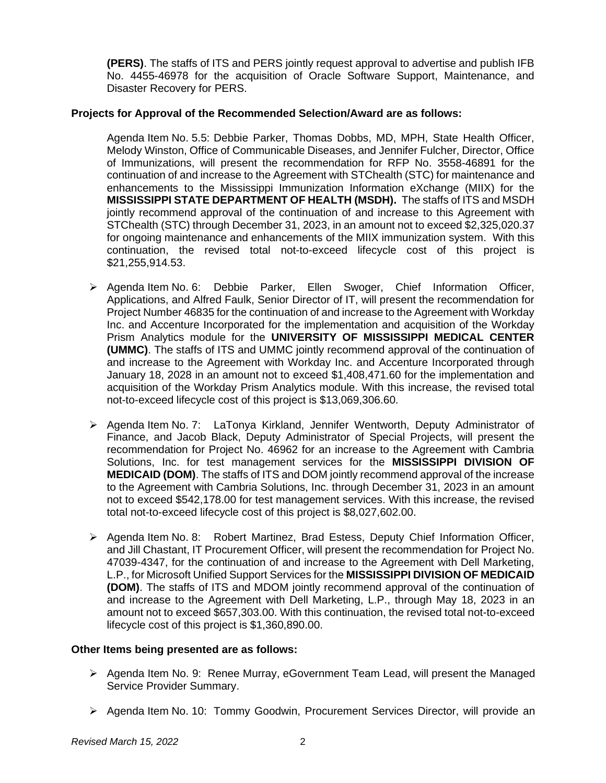**(PERS)**. The staffs of ITS and PERS jointly request approval to advertise and publish IFB No. 4455-46978 for the acquisition of Oracle Software Support, Maintenance, and Disaster Recovery for PERS.

# **Projects for Approval of the Recommended Selection/Award are as follows:**

Agenda Item No. 5.5: Debbie Parker, Thomas Dobbs, MD, MPH, State Health Officer, Melody Winston, Office of Communicable Diseases, and Jennifer Fulcher, Director, Office of Immunizations, will present the recommendation for RFP No. 3558-46891 for the continuation of and increase to the Agreement with STChealth (STC) for maintenance and enhancements to the Mississippi Immunization Information eXchange (MIIX) for the **MISSISSIPPI STATE DEPARTMENT OF HEALTH (MSDH).** The staffs of ITS and MSDH jointly recommend approval of the continuation of and increase to this Agreement with STChealth (STC) through December 31, 2023, in an amount not to exceed \$2,325,020.37 for ongoing maintenance and enhancements of the MIIX immunization system. With this continuation, the revised total not-to-exceed lifecycle cost of this project is \$21,255,914.53.

- ➢ Agenda Item No. 6: Debbie Parker, Ellen Swoger, Chief Information Officer, Applications, and Alfred Faulk, Senior Director of IT, will present the recommendation for Project Number 46835 for the continuation of and increase to the Agreement with Workday Inc. and Accenture Incorporated for the implementation and acquisition of the Workday Prism Analytics module for the **UNIVERSITY OF MISSISSIPPI MEDICAL CENTER (UMMC)**. The staffs of ITS and UMMC jointly recommend approval of the continuation of and increase to the Agreement with Workday Inc. and Accenture Incorporated through January 18, 2028 in an amount not to exceed \$1,408,471.60 for the implementation and acquisition of the Workday Prism Analytics module. With this increase, the revised total not-to-exceed lifecycle cost of this project is \$13,069,306.60.
- ➢ Agenda Item No. 7: LaTonya Kirkland, Jennifer Wentworth, Deputy Administrator of Finance, and Jacob Black, Deputy Administrator of Special Projects, will present the recommendation for Project No. 46962 for an increase to the Agreement with Cambria Solutions, Inc. for test management services for the **MISSISSIPPI DIVISION OF MEDICAID (DOM)**. The staffs of ITS and DOM jointly recommend approval of the increase to the Agreement with Cambria Solutions, Inc. through December 31, 2023 in an amount not to exceed \$542,178.00 for test management services. With this increase, the revised total not-to-exceed lifecycle cost of this project is \$8,027,602.00.
- ➢ Agenda Item No. 8: Robert Martinez, Brad Estess, Deputy Chief Information Officer, and Jill Chastant, IT Procurement Officer, will present the recommendation for Project No. 47039-4347, for the continuation of and increase to the Agreement with Dell Marketing, L.P., for Microsoft Unified Support Services for the **MISSISSIPPI DIVISION OF MEDICAID (DOM)**. The staffs of ITS and MDOM jointly recommend approval of the continuation of and increase to the Agreement with Dell Marketing, L.P., through May 18, 2023 in an amount not to exceed \$657,303.00. With this continuation, the revised total not-to-exceed lifecycle cost of this project is \$1,360,890.00.

## **Other Items being presented are as follows:**

- ➢ Agenda Item No. 9: Renee Murray, eGovernment Team Lead, will present the Managed Service Provider Summary.
- ➢ Agenda Item No. 10: Tommy Goodwin, Procurement Services Director, will provide an